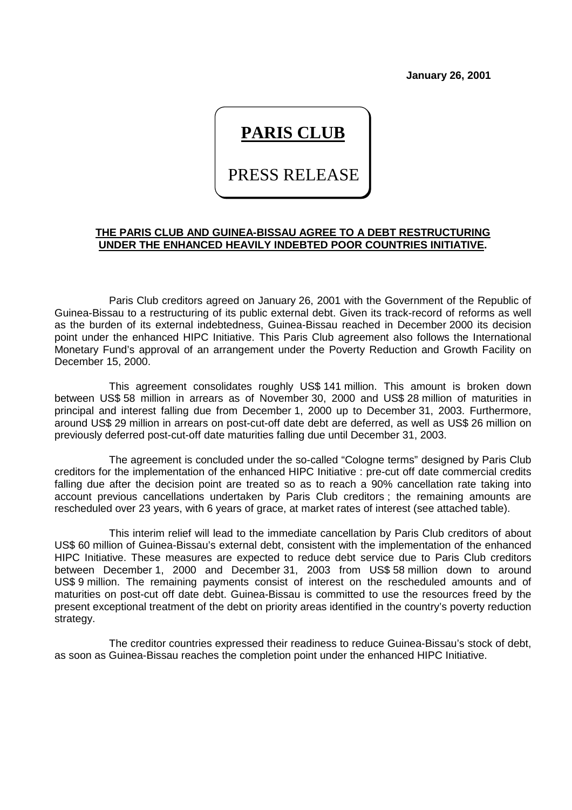**January 26, 2001**

## **PARIS CLUB**

PRESS RELEASE

## **THE PARIS CLUB AND GUINEA-BISSAU AGREE TO A DEBT RESTRUCTURING UNDER THE ENHANCED HEAVILY INDEBTED POOR COUNTRIES INITIATIVE.**

Paris Club creditors agreed on January 26, 2001 with the Government of the Republic of Guinea-Bissau to a restructuring of its public external debt. Given its track-record of reforms as well as the burden of its external indebtedness, Guinea-Bissau reached in December 2000 its decision point under the enhanced HIPC Initiative. This Paris Club agreement also follows the International Monetary Fund's approval of an arrangement under the Poverty Reduction and Growth Facility on December 15, 2000.

This agreement consolidates roughly US\$ 141 million. This amount is broken down between US\$ 58 million in arrears as of November 30, 2000 and US\$ 28 million of maturities in principal and interest falling due from December 1, 2000 up to December 31, 2003. Furthermore, around US\$ 29 million in arrears on post-cut-off date debt are deferred, as well as US\$ 26 million on previously deferred post-cut-off date maturities falling due until December 31, 2003.

The agreement is concluded under the so-called "Cologne terms" designed by Paris Club creditors for the implementation of the enhanced HIPC Initiative : pre-cut off date commercial credits falling due after the decision point are treated so as to reach a 90% cancellation rate taking into account previous cancellations undertaken by Paris Club creditors ; the remaining amounts are rescheduled over 23 years, with 6 years of grace, at market rates of interest (see attached table).

This interim relief will lead to the immediate cancellation by Paris Club creditors of about US\$ 60 million of Guinea-Bissau's external debt, consistent with the implementation of the enhanced HIPC Initiative. These measures are expected to reduce debt service due to Paris Club creditors between December 1, 2000 and December 31, 2003 from US\$ 58 million down to around US\$ 9 million. The remaining payments consist of interest on the rescheduled amounts and of maturities on post-cut off date debt. Guinea-Bissau is committed to use the resources freed by the present exceptional treatment of the debt on priority areas identified in the country's poverty reduction strategy.

The creditor countries expressed their readiness to reduce Guinea-Bissau's stock of debt, as soon as Guinea-Bissau reaches the completion point under the enhanced HIPC Initiative.